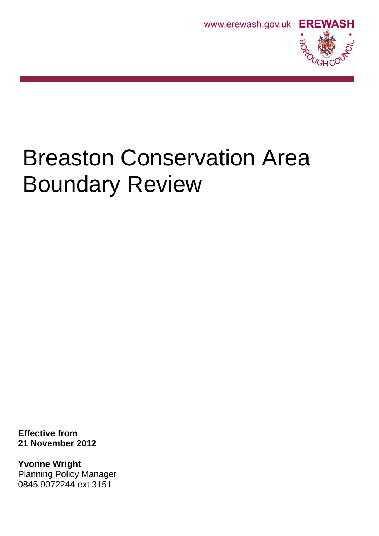



# Breaston Conservation Area Boundary Review

**Effective from 21 November 2012** 

**Yvonne Wright** Planning Policy Manager 0845 9072244 ext 3151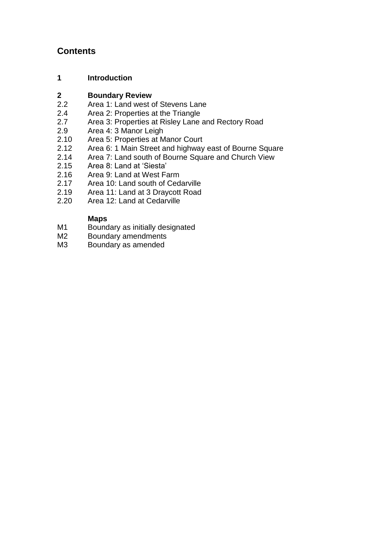# **Contents**

# **1 Introduction**

# **2 Boundary Review**

- Area 1: Land west of Stevens Lane
- 2.4 Area 2: Properties at the Triangle
- 2.7 Area 3: Properties at Risley Lane and Rectory Road<br>2.9 Area 4: 3 Manor Leigh
- Area 4: 3 Manor Leigh
- 2.10 Area 5: Properties at Manor Court
- 2.12 Area 6: 1 Main Street and highway east of Bourne Square<br>2.14 Area 7: Land south of Bourne Square and Church View
- 2.14 Area 7: Land south of Bourne Square and Church View<br>2.15 Area 8: Land at 'Siesta'
- Area 8: Land at 'Siesta'
- 2.16 Area 9: Land at West Farm
- 2.17 Area 10: Land south of Cedarville<br>2.19 Area 11: Land at 3 Dravcott Road
- Area 11: Land at 3 Draycott Road
- 2.20 Area 12: Land at Cedarville

# **Maps**

- M1 Boundary as initially designated<br>M2 Boundary amendments
- Boundary amendments
- M3 Boundary as amended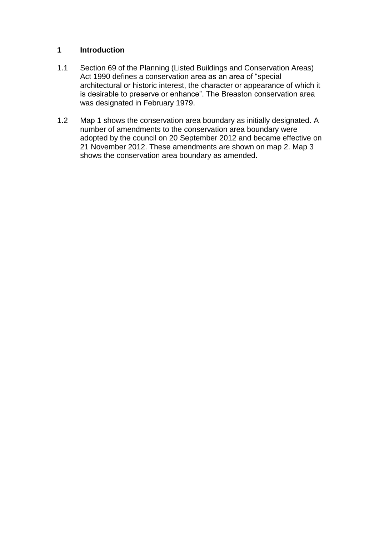#### **1 Introduction**

- 1.1 Section 69 of the Planning (Listed Buildings and Conservation Areas) Act 1990 defines a conservation area as an area of "special architectural or historic interest, the character or appearance of which it is desirable to preserve or enhance". The Breaston conservation area was designated in February 1979.
- 1.2 Map 1 shows the conservation area boundary as initially designated. A number of amendments to the conservation area boundary were adopted by the council on 20 September 2012 and became effective on 21 November 2012. These amendments are shown on map 2. Map 3 shows the conservation area boundary as amended.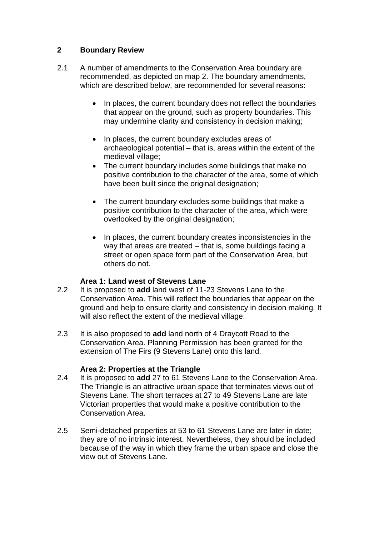# **2 Boundary Review**

- 2.1 A number of amendments to the Conservation Area boundary are recommended, as depicted on map 2. The boundary amendments, which are described below, are recommended for several reasons:
	- In places, the current boundary does not reflect the boundaries that appear on the ground, such as property boundaries. This may undermine clarity and consistency in decision making;
	- In places, the current boundary excludes areas of archaeological potential – that is, areas within the extent of the medieval village;
	- The current boundary includes some buildings that make no positive contribution to the character of the area, some of which have been built since the original designation;
	- The current boundary excludes some buildings that make a positive contribution to the character of the area, which were overlooked by the original designation;
	- In places, the current boundary creates inconsistencies in the way that areas are treated – that is, some buildings facing a street or open space form part of the Conservation Area, but others do not.

# **Area 1: Land west of Stevens Lane**

- 2.2 It is proposed to **add** land west of 11-23 Stevens Lane to the Conservation Area. This will reflect the boundaries that appear on the ground and help to ensure clarity and consistency in decision making. It will also reflect the extent of the medieval village.
- 2.3 It is also proposed to **add** land north of 4 Draycott Road to the Conservation Area. Planning Permission has been granted for the extension of The Firs (9 Stevens Lane) onto this land.

#### **Area 2: Properties at the Triangle**

- 2.4 It is proposed to **add** 27 to 61 Stevens Lane to the Conservation Area. The Triangle is an attractive urban space that terminates views out of Stevens Lane. The short terraces at 27 to 49 Stevens Lane are late Victorian properties that would make a positive contribution to the Conservation Area.
- 2.5 Semi-detached properties at 53 to 61 Stevens Lane are later in date; they are of no intrinsic interest. Nevertheless, they should be included because of the way in which they frame the urban space and close the view out of Stevens Lane.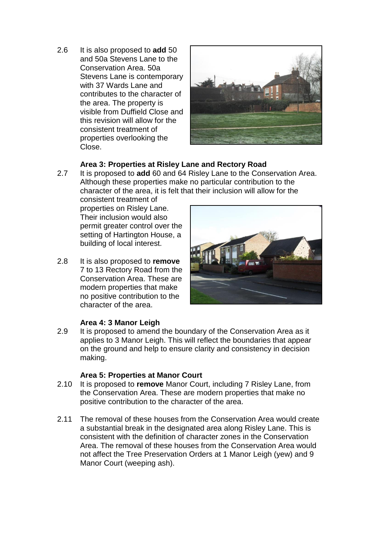2.6 It is also proposed to **add** 50 and 50a Stevens Lane to the Conservation Area. 50a Stevens Lane is contemporary with 37 Wards Lane and contributes to the character of the area. The property is visible from Duffield Close and this revision will allow for the consistent treatment of properties overlooking the Close.



#### **Area 3: Properties at Risley Lane and Rectory Road**

2.7 It is proposed to **add** 60 and 64 Risley Lane to the Conservation Area. Although these properties make no particular contribution to the character of the area, it is felt that their inclusion will allow for the

consistent treatment of properties on Risley Lane. Their inclusion would also permit greater control over the setting of Hartington House, a building of local interest.

2.8 It is also proposed to **remove**  7 to 13 Rectory Road from the Conservation Area. These are modern properties that make no positive contribution to the character of the area.



#### **Area 4: 3 Manor Leigh**

2.9 It is proposed to amend the boundary of the Conservation Area as it applies to 3 Manor Leigh. This will reflect the boundaries that appear on the ground and help to ensure clarity and consistency in decision making.

#### **Area 5: Properties at Manor Court**

- 2.10 It is proposed to **remove** Manor Court, including 7 Risley Lane, from the Conservation Area. These are modern properties that make no positive contribution to the character of the area.
- 2.11 The removal of these houses from the Conservation Area would create a substantial break in the designated area along Risley Lane. This is consistent with the definition of character zones in the Conservation Area. The removal of these houses from the Conservation Area would not affect the Tree Preservation Orders at 1 Manor Leigh (yew) and 9 Manor Court (weeping ash).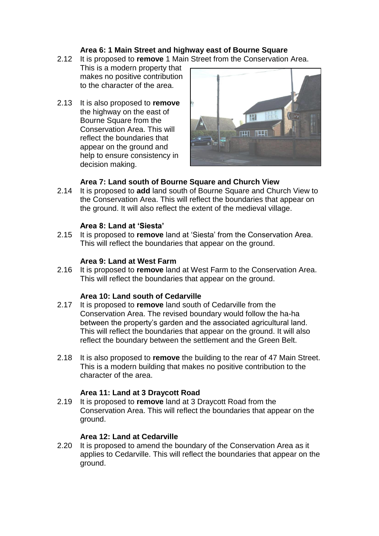#### **Area 6: 1 Main Street and highway east of Bourne Square**

- 2.12 It is proposed to **remove** 1 Main Street from the Conservation Area.
	- This is a modern property that makes no positive contribution to the character of the area.
- 2.13 It is also proposed to **remove**  the highway on the east of Bourne Square from the Conservation Area. This will reflect the boundaries that appear on the ground and help to ensure consistency in decision making.



# **Area 7: Land south of Bourne Square and Church View**

2.14 It is proposed to **add** land south of Bourne Square and Church View to the Conservation Area. This will reflect the boundaries that appear on the ground. It will also reflect the extent of the medieval village.

#### **Area 8: Land at 'Siesta'**

2.15 It is proposed to **remove** land at 'Siesta' from the Conservation Area. This will reflect the boundaries that appear on the ground.

#### **Area 9: Land at West Farm**

2.16 It is proposed to **remove** land at West Farm to the Conservation Area. This will reflect the boundaries that appear on the ground.

# **Area 10: Land south of Cedarville**

- 2.17 It is proposed to **remove** land south of Cedarville from the Conservation Area. The revised boundary would follow the ha-ha between the property's garden and the associated agricultural land. This will reflect the boundaries that appear on the ground. It will also reflect the boundary between the settlement and the Green Belt.
- 2.18 It is also proposed to **remove** the building to the rear of 47 Main Street. This is a modern building that makes no positive contribution to the character of the area.

# **Area 11: Land at 3 Draycott Road**

2.19 It is proposed to **remove** land at 3 Draycott Road from the Conservation Area. This will reflect the boundaries that appear on the ground.

#### **Area 12: Land at Cedarville**

2.20 It is proposed to amend the boundary of the Conservation Area as it applies to Cedarville. This will reflect the boundaries that appear on the ground.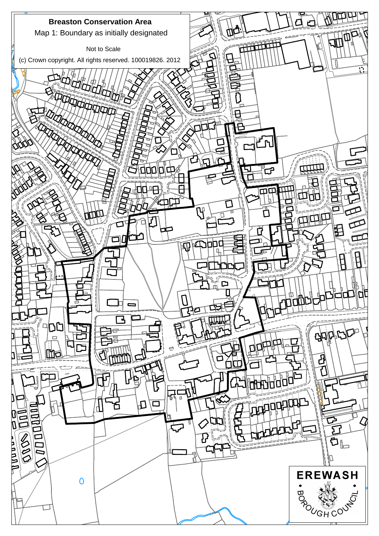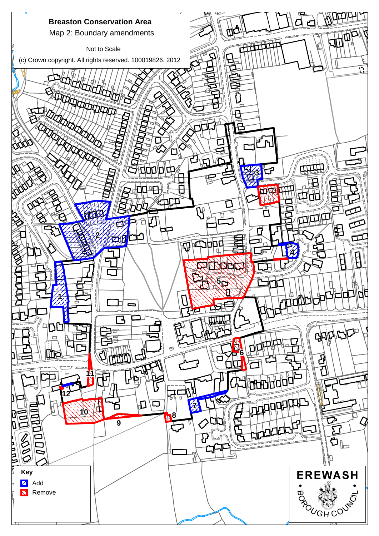